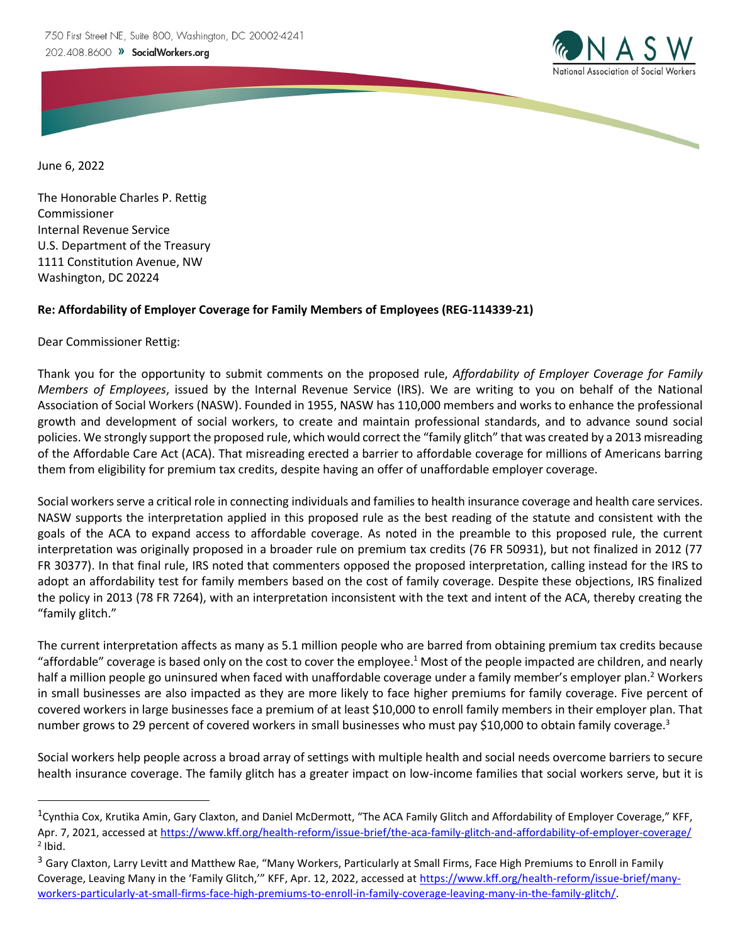

June 6, 2022

The Honorable Charles P. Rettig Commissioner Internal Revenue Service U.S. Department of the Treasury 1111 Constitution Avenue, NW Washington, DC 20224

## **Re: Affordability of Employer Coverage for Family Members of Employees (REG-114339-21)**

Dear Commissioner Rettig:

Thank you for the opportunity to submit comments on the proposed rule, *Affordability of Employer Coverage for Family Members of Employees*, issued by the Internal Revenue Service (IRS). We are writing to you on behalf of the National Association of Social Workers (NASW). Founded in 1955, NASW has 110,000 members and works to enhance the professional growth and development of social workers, to create and maintain professional standards, and to advance sound social policies. We strongly support the proposed rule, which would correct the "family glitch" that was created by a 2013 misreading of the Affordable Care Act (ACA). That misreading erected a barrier to affordable coverage for millions of Americans barring them from eligibility for premium tax credits, despite having an offer of unaffordable employer coverage.

Social workers serve a critical role in connecting individuals and families to health insurance coverage and health care services. NASW supports the interpretation applied in this proposed rule as the best reading of the statute and consistent with the goals of the ACA to expand access to affordable coverage. As noted in the preamble to this proposed rule, the current interpretation was originally proposed in a broader rule on premium tax credits (76 FR 50931), but not finalized in 2012 (77 FR 30377). In that final rule, IRS noted that commenters opposed the proposed interpretation, calling instead for the IRS to adopt an affordability test for family members based on the cost of family coverage. Despite these objections, IRS finalized the policy in 2013 (78 FR 7264), with an interpretation inconsistent with the text and intent of the ACA, thereby creating the "family glitch."

The current interpretation affects as many as 5.1 million people who are barred from obtaining premium tax credits because "affordable" coverage is based only on the cost to cover the employee.<sup>1</sup> Most of the people impacted are children, and nearly half a million people go uninsured when faced with unaffordable coverage under a family member's employer plan.<sup>2</sup> Workers in small businesses are also impacted as they are more likely to face higher premiums for family coverage. Five percent of covered workers in large businesses face a premium of at least \$10,000 to enroll family members in their employer plan. That number grows to 29 percent of covered workers in small businesses who must pay \$10,000 to obtain family coverage.<sup>3</sup>

Social workers help people across a broad array of settings with multiple health and social needs overcome barriers to secure health insurance coverage. The family glitch has a greater impact on low-income families that social workers serve, but it is

<sup>&</sup>lt;sup>1</sup>Cynthia Cox, Krutika Amin, Gary Claxton, and Daniel McDermott, "The ACA Family Glitch and Affordability of Employer Coverage," KFF, Apr. 7, 2021, accessed a[t https://www.kff.org/health-reform/issue-brief/the-aca-family-glitch-and-affordability-of-employer-coverage/](https://www.kff.org/health-reform/issue-brief/the-aca-family-glitch-and-affordability-of-employer-coverage/)  $<sup>2</sup>$  Ibid.</sup>

<sup>&</sup>lt;sup>3</sup> Gary Claxton, Larry Levitt and Matthew Rae, "Many Workers, Particularly at Small Firms, Face High Premiums to Enroll in Family Coverage, Leaving Many in the 'Family Glitch," KFF, Apr. 12, 2022, accessed at [https://www.kff.org/health-reform/issue-brief/many](https://www.kff.org/health-reform/issue-brief/many-workers-particularly-at-small-firms-face-high-premiums-to-enroll-in-family-coverage-leaving-many-in-the-family-glitch/)[workers-particularly-at-small-firms-face-high-premiums-to-enroll-in-family-coverage-leaving-many-in-the-family-glitch/.](https://www.kff.org/health-reform/issue-brief/many-workers-particularly-at-small-firms-face-high-premiums-to-enroll-in-family-coverage-leaving-many-in-the-family-glitch/)